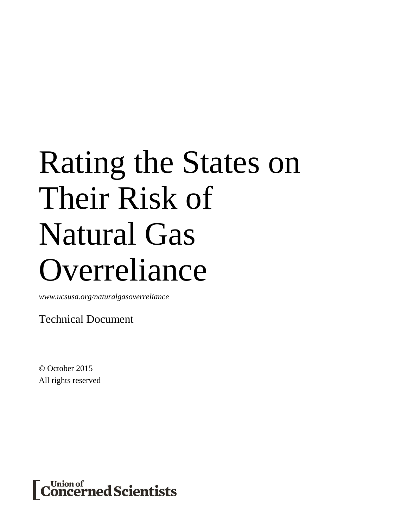# Rating the States on Their Risk of Natural Gas Overreliance

*www.ucsusa.org/naturalgasoverreliance*

Technical Document

© October 2015 All rights reserved

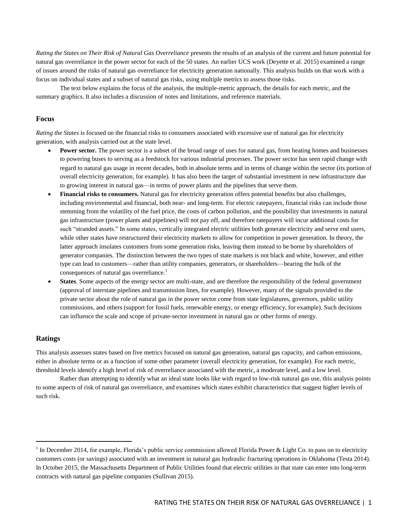*Rating the States on Their Risk of Natural Gas Overreliance* presents the results of an analysis of the current and future potential for natural gas overreliance in the power sector for each of the 50 states. An earlier UCS work (Deyette et al. 2015) examined a range of issues around the risks of natural gas overreliance for electricity generation nationally. This analysis builds on that work with a focus on individual states and a subset of natural gas risks, using multiple metrics to assess those risks.

The text below explains the focus of the analysis, the multiple-metric approach, the details for each metric, and the summary graphics. It also includes a discussion of notes and limitations, and reference materials.

#### **Focus**

*Rating the States* is focused on the financial risks to consumers associated with excessive use of natural gas for electricity generation, with analysis carried out at the state level.

- **Power sector.** The power sector is a subset of the broad range of uses for natural gas, from heating homes and businesses to powering buses to serving as a feedstock for various industrial processes. The power sector has seen rapid change with regard to natural gas usage in recent decades, both in absolute terms and in terms of change within the sector (its portion of overall electricity generation, for example). It has also been the target of substantial investment in new infrastructure due to growing interest in natural gas—in terms of power plants and the pipelines that serve them.
- **Financial risks to consumers.** Natural gas for electricity generation offers potential benefits but also challenges, including environmental and financial, both near- and long-term. For electric ratepayers, financial risks can include those stemming from the volatility of the fuel price, the costs of carbon pollution, and the possibility that investments in natural gas infrastructure (power plants and pipelines) will not pay off, and therefore ratepayers will incur additional costs for such "stranded assets." In some states, vertically integrated electric utilities both generate electricity and serve end users, while other states have restructured their electricity markets to allow for competition in power generation. In theory, the latter approach insulates customers from some generation risks, leaving them instead to be borne by shareholders of generator companies. The distinction between the two types of state markets is not black and white, however, and either type can lead to customers—rather than utility companies, generators, or shareholders—bearing the bulk of the consequences of natural gas overreliance.<sup>1</sup>
- **States**. Some aspects of the energy sector are multi-state, and are therefore the responsibility of the federal government (approval of interstate pipelines and transmission lines, for example). However, many of the signals provided to the private sector about the role of natural gas in the power sector come from state legislatures, governors, public utility commissions, and others (support for fossil fuels, renewable energy, or energy efficiency, for example). Such decisions can influence the scale and scope of private-sector investment in natural gas or other forms of energy.

## **Ratings**

 $\overline{\phantom{a}}$ 

This analysis assesses states based on five metrics focused on natural gas generation, natural gas capacity, and carbon emissions, either in absolute terms or as a function of some other parameter (overall electricity generation, for example). For each metric, threshold levels identify a high level of risk of overreliance associated with the metric, a moderate level, and a low level.

Rather than attempting to identify what an ideal state looks like with regard to low-risk natural gas use, this analysis points to some aspects of risk of natural gas overreliance, and examines which states exhibit characteristics that suggest higher levels of such risk.

<sup>&</sup>lt;sup>1</sup> In December 2014, for example, Florida's public service commission allowed Florida Power & Light Co. to pass on to electricity customers costs (or savings) associated with an investment in natural gas hydraulic fracturing operations in Oklahoma (Testa 2014). In October 2015, the Massachusetts Department of Public Utilities found that electric utilities in that state can enter into long-term contracts with natural gas pipeline companies (Sullivan 2015).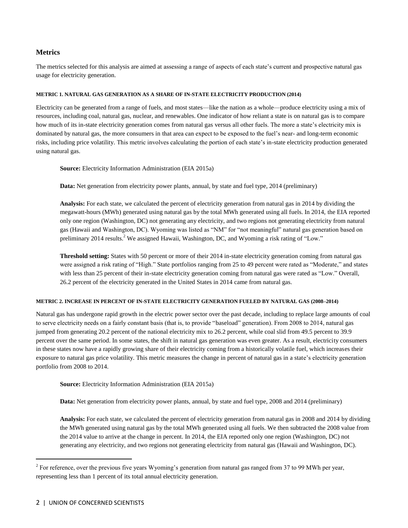## **Metrics**

The metrics selected for this analysis are aimed at assessing a range of aspects of each state's current and prospective natural gas usage for electricity generation.

## **METRIC 1. NATURAL GAS GENERATION AS A SHARE OF IN-STATE ELECTRICITY PRODUCTION (2014)**

Electricity can be generated from a range of fuels, and most states—like the nation as a whole—produce electricity using a mix of resources, including coal, natural gas, nuclear, and renewables. One indicator of how reliant a state is on natural gas is to compare how much of its in-state electricity generation comes from natural gas versus all other fuels. The more a state's electricity mix is dominated by natural gas, the more consumers in that area can expect to be exposed to the fuel's near- and long-term economic risks, including price volatility. This metric involves calculating the portion of each state's in-state electricity production generated using natural gas.

**Source:** Electricity Information Administration (EIA 2015a)

**Data:** Net generation from electricity power plants, annual, by state and fuel type, 2014 (preliminary)

**Analysis:** For each state, we calculated the percent of electricity generation from natural gas in 2014 by dividing the megawatt-hours (MWh) generated using natural gas by the total MWh generated using all fuels. In 2014, the EIA reported only one region (Washington, DC) not generating any electricity, and two regions not generating electricity from natural gas (Hawaii and Washington, DC). Wyoming was listed as "NM" for "not meaningful" natural gas generation based on preliminary 2014 results.<sup>2</sup> We assigned Hawaii, Washington, DC, and Wyoming a risk rating of "Low."

**Threshold setting:** States with 50 percent or more of their 2014 in-state electricity generation coming from natural gas were assigned a risk rating of "High." State portfolios ranging from 25 to 49 percent were rated as "Moderate," and states with less than 25 percent of their in-state electricity generation coming from natural gas were rated as "Low." Overall, 26.2 percent of the electricity generated in the United States in 2014 came from natural gas.

## **METRIC 2. INCREASE IN PERCENT OF IN-STATE ELECTRICITY GENERATION FUELED BY NATURAL GAS (2008–2014)**

Natural gas has undergone rapid growth in the electric power sector over the past decade, including to replace large amounts of coal to serve electricity needs on a fairly constant basis (that is, to provide "baseload" generation). From 2008 to 2014, natural gas jumped from generating 20.2 percent of the national electricity mix to 26.2 percent, while coal slid from 49.5 percent to 39.9 percent over the same period. In some states, the shift in natural gas generation was even greater. As a result, electricity consumers in these states now have a rapidly growing share of their electricity coming from a historically volatile fuel, which increases their exposure to natural gas price volatility. This metric measures the change in percent of natural gas in a state's electricity generation portfolio from 2008 to 2014.

**Source:** Electricity Information Administration (EIA 2015a)

**Data:** Net generation from electricity power plants, annual, by state and fuel type, 2008 and 2014 (preliminary)

**Analysis:** For each state, we calculated the percent of electricity generation from natural gas in 2008 and 2014 by dividing the MWh generated using natural gas by the total MWh generated using all fuels. We then subtracted the 2008 value from the 2014 value to arrive at the change in percent. In 2014, the EIA reported only one region (Washington, DC) not generating any electricity, and two regions not generating electricity from natural gas (Hawaii and Washington, DC).

 $\overline{\phantom{a}}$ 

<sup>&</sup>lt;sup>2</sup> For reference, over the previous five years Wyoming's generation from natural gas ranged from 37 to 99 MWh per year, representing less than 1 percent of its total annual electricity generation.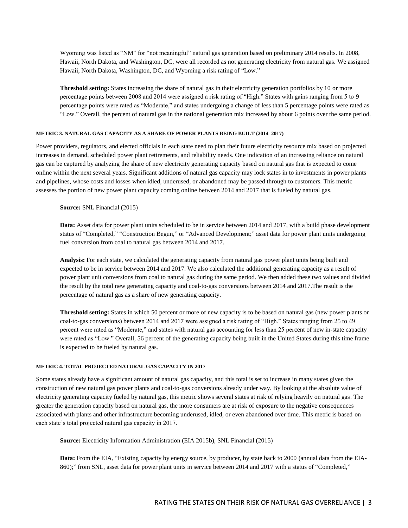Wyoming was listed as "NM" for "not meaningful" natural gas generation based on preliminary 2014 results. In 2008, Hawaii, North Dakota, and Washington, DC, were all recorded as not generating electricity from natural gas. We assigned Hawaii, North Dakota, Washington, DC, and Wyoming a risk rating of "Low."

**Threshold setting:** States increasing the share of natural gas in their electricity generation portfolios by 10 or more percentage points between 2008 and 2014 were assigned a risk rating of "High." States with gains ranging from 5 to 9 percentage points were rated as "Moderate," and states undergoing a change of less than 5 percentage points were rated as ―Low.‖ Overall, the percent of natural gas in the national generation mix increased by about 6 points over the same period.

#### **METRIC 3. NATURAL GAS CAPACITY AS A SHARE OF POWER PLANTS BEING BUILT (2014–2017)**

Power providers, regulators, and elected officials in each state need to plan their future electricity resource mix based on projected increases in demand, scheduled power plant retirements, and reliability needs. One indication of an increasing reliance on natural gas can be captured by analyzing the share of new electricity generating capacity based on natural gas that is expected to come online within the next several years. Significant additions of natural gas capacity may lock states in to investments in power plants and pipelines, whose costs and losses when idled, underused, or abandoned may be passed through to customers. This metric assesses the portion of new power plant capacity coming online between 2014 and 2017 that is fueled by natural gas.

**Source:** SNL Financial (2015)

**Data:** Asset data for power plant units scheduled to be in service between 2014 and 2017, with a build phase development status of "Completed," "Construction Begun," or "Advanced Development;" asset data for power plant units undergoing fuel conversion from coal to natural gas between 2014 and 2017.

**Analysis:** For each state, we calculated the generating capacity from natural gas power plant units being built and expected to be in service between 2014 and 2017. We also calculated the additional generating capacity as a result of power plant unit conversions from coal to natural gas during the same period. We then added these two values and divided the result by the total new generating capacity and coal-to-gas conversions between 2014 and 2017.The result is the percentage of natural gas as a share of new generating capacity.

**Threshold setting:** States in which 50 percent or more of new capacity is to be based on natural gas (new power plants or coal-to-gas conversions) between 2014 and 2017 were assigned a risk rating of "High." States ranging from 25 to 49 percent were rated as "Moderate," and states with natural gas accounting for less than 25 percent of new in-state capacity were rated as "Low." Overall, 56 percent of the generating capacity being built in the United States during this time frame is expected to be fueled by natural gas.

## **METRIC 4. TOTAL PROJECTED NATURAL GAS CAPACITY IN 2017**

Some states already have a significant amount of natural gas capacity, and this total is set to increase in many states given the construction of new natural gas power plants and coal-to-gas conversions already under way. By looking at the absolute value of electricity generating capacity fueled by natural gas, this metric shows several states at risk of relying heavily on natural gas. The greater the generation capacity based on natural gas, the more consumers are at risk of exposure to the negative consequences associated with plants and other infrastructure becoming underused, idled, or even abandoned over time. This metric is based on each state's total projected natural gas capacity in 2017.

**Source:** Electricity Information Administration (EIA 2015b), SNL Financial (2015)

Data: From the EIA, "Existing capacity by energy source, by producer, by state back to 2000 (annual data from the EIA-860);" from SNL, asset data for power plant units in service between 2014 and 2017 with a status of "Completed,"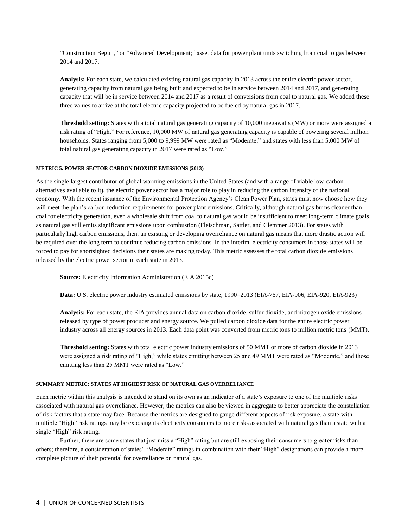―Construction Begun,‖ or ―Advanced Development;‖ asset data for power plant units switching from coal to gas between 2014 and 2017.

**Analysis:** For each state, we calculated existing natural gas capacity in 2013 across the entire electric power sector, generating capacity from natural gas being built and expected to be in service between 2014 and 2017, and generating capacity that will be in service between 2014 and 2017 as a result of conversions from coal to natural gas. We added these three values to arrive at the total electric capacity projected to be fueled by natural gas in 2017.

**Threshold setting:** States with a total natural gas generating capacity of 10,000 megawatts (MW) or more were assigned a risk rating of "High." For reference, 10,000 MW of natural gas generating capacity is capable of powering several million households. States ranging from 5,000 to 9,999 MW were rated as "Moderate," and states with less than 5,000 MW of total natural gas generating capacity in 2017 were rated as "Low."

#### **METRIC 5. POWER SECTOR CARBON DIOXIDE EMISSIONS (2013)**

As the single largest contributor of global warming emissions in the United States (and with a range of viable low-carbon alternatives available to it), the electric power sector has a major role to play in reducing the carbon intensity of the national economy. With the recent issuance of the Environmental Protection Agency's Clean Power Plan, states must now choose how they will meet the plan's carbon-reduction requirements for power plant emissions. Critically, although natural gas burns cleaner than coal for electricity generation, even a wholesale shift from coal to natural gas would be insufficient to meet long-term climate goals, as natural gas still emits significant emissions upon combustion (Fleischman, Sattler, and Clemmer 2013). For states with particularly high carbon emissions, then, an existing or developing overreliance on natural gas means that more drastic action will be required over the long term to continue reducing carbon emissions. In the interim, electricity consumers in those states will be forced to pay for shortsighted decisions their states are making today. This metric assesses the total carbon dioxide emissions released by the electric power sector in each state in 2013.

**Source:** Electricity Information Administration (EIA 2015c)

**Data:** U.S. electric power industry estimated emissions by state, 1990–2013 (EIA-767, EIA-906, EIA-920, EIA-923)

**Analysis:** For each state, the EIA provides annual data on carbon dioxide, sulfur dioxide, and nitrogen oxide emissions released by type of power producer and energy source. We pulled carbon dioxide data for the entire electric power industry across all energy sources in 2013. Each data point was converted from metric tons to million metric tons (MMT).

**Threshold setting:** States with total electric power industry emissions of 50 MMT or more of carbon dioxide in 2013 were assigned a risk rating of "High," while states emitting between 25 and 49 MMT were rated as "Moderate," and those emitting less than 25 MMT were rated as "Low."

#### **SUMMARY METRIC: STATES AT HIGHEST RISK OF NATURAL GAS OVERRELIANCE**

Each metric within this analysis is intended to stand on its own as an indicator of a state's exposure to one of the multiple risks associated with natural gas overreliance. However, the metrics can also be viewed in aggregate to better appreciate the constellation of risk factors that a state may face. Because the metrics are designed to gauge different aspects of risk exposure, a state with multiple "High" risk ratings may be exposing its electricity consumers to more risks associated with natural gas than a state with a single "High" risk rating.

Further, there are some states that just miss a "High" rating but are still exposing their consumers to greater risks than others; therefore, a consideration of states' "Moderate" ratings in combination with their "High" designations can provide a more complete picture of their potential for overreliance on natural gas.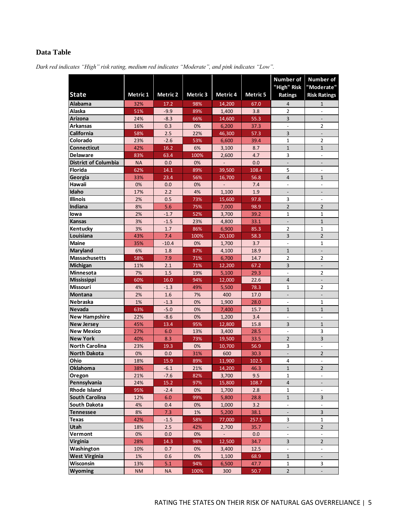# **Data Table**

*Dark red indicates "High" risk rating, medium red indicates "Moderate", and pink indicates "Low".*

|                             |           |                 |                 |                |                 | Number of                    | <b>Number of</b>                  |
|-----------------------------|-----------|-----------------|-----------------|----------------|-----------------|------------------------------|-----------------------------------|
| <b>State</b>                | Metric 1  | <b>Metric 2</b> | Metric 3        | Metric 4       | <b>Metric 5</b> | "High" Risk<br>Ratings       | "Moderate"<br><b>Risk Ratings</b> |
| Alabama                     | 32%       | 17.2            | 98%             | 14,200         | 67.0            | 4                            | $\mathbf{1}$                      |
| Alaska                      | 51%       | $-9.9$          | 89%             | 1,400          | 3.8             | $\overline{2}$               |                                   |
| <b>Arizona</b>              | 24%       | $-8.3$          | 66%             | 14,600         | 55.3            | 3                            | $\overline{\phantom{0}}$          |
| Arkansas                    | 16%       | 0.3             | 0%              | 6,200          | 37.3            | $\frac{1}{2}$                | 2                                 |
| California                  | 58%       | 2.5             | 22%             | 46,300         | 57.3            | 3                            |                                   |
| Colorado                    | 23%       | $-2.6$          | 53%             | 6,600          | 39.4            | $\mathbf{1}$                 | $\overline{2}$                    |
| <b>Connecticut</b>          | 42%       | 16.2            | 6%              | 3,100          | 8.7             | $\mathbf{1}$                 | $\mathbf{1}$                      |
| <b>Delaware</b>             | 83%       | 63.4            | 100%            | 2,600          | 4.7             | 3                            |                                   |
| <b>District of Columbia</b> | <b>NA</b> | 0.0             | 0%              | $\blacksquare$ | 0.0             | $\qquad \qquad \blacksquare$ |                                   |
| <b>Florida</b>              | 62%       | 14.1            | 89%             | 39,500         | 108.4           | 5                            | $\overline{a}$                    |
| Georgia                     | 33%       | 23.4            | 56%             | 16,700         | 56.8            | 4                            | $\mathbf{1}$                      |
| Hawaii                      | 0%        | 0.0             | 0%              |                | 7.4             | $\qquad \qquad \blacksquare$ |                                   |
| Idaho                       | 17%       | 2.2             | 4%              | 1,100          | 1.9             |                              |                                   |
| <b>Illinois</b>             | 2%        | 0.5             | 73%             | 15,600         | 97.8            | 3                            |                                   |
| <b>Indiana</b>              | 8%        | 5.6             | 75%             | 7,000          | 98.9            | $\overline{2}$               | $\overline{2}$                    |
| lowa                        | 2%        | $-1.7$          | 52%             | 3,700          | 39.2            | 1                            | 1                                 |
| <b>Kansas</b>               | 3%        | $-1.5$          | 23%             | 4,800          | 33.1            |                              | $\mathbf{1}$                      |
| Kentucky                    | 3%        | 1.7             | 86%             | 6,900          | 85.3            | $\overline{2}$               | $\mathbf{1}$                      |
| Louisiana                   | 43%       | 7.4             | 100%            | 20,100         | 58.3            | 3                            | $\overline{2}$                    |
| <b>Maine</b>                | 35%       | $-10.4$         | 0%              | 1.700          | 3.7             | $\overline{a}$               | 1                                 |
| Maryland                    | 6%        | 1.8             | 87%             | 4,100          | 18.9            | $\mathbf{1}$                 |                                   |
| <b>Massachusetts</b>        | 58%       | 7.9             | 71%             | 6,700          | 14.7            | 2                            | 2                                 |
| Michigan                    | 11%       | 2.1             | 71%             | 12,200         | 67.2            | 3                            | $\overline{a}$                    |
| Minnesota                   | 7%        | 1.5             | 19%             | 5,100          | 29.3            | $\qquad \qquad \blacksquare$ | 2                                 |
| <b>Mississippi</b>          | 60%       | 16.0            | 94%             | 12,000         | 22.6            | $\overline{4}$               |                                   |
| <b>Missouri</b>             | 4%        | $-1.3$          | 49%             | 5,500          | 78.3            | 1                            | 2                                 |
| Montana                     | 2%        | 1.6             | 7%              | 400            | 17.0            | $\overline{\phantom{a}}$     |                                   |
| Nebraska                    | 1%        | $-1.3$          | 0%              | 1,900          | 28.0            | $\overline{a}$               | 1                                 |
| Nevada                      | 63%       | $-5.0$          | 0%              | 7,400          | 15.7            | $\mathbf{1}$                 | $\mathbf{1}$                      |
| <b>New Hampshire</b>        | 22%       | $-8.6$          | 0%              | 1,200          | 3.4             |                              |                                   |
| <b>New Jersey</b>           | 45%       | 13.4            | 95%             | 12,800         | 15.8            | 3                            | $\mathbf{1}$                      |
| <b>New Mexico</b>           | 27%       | 6.0             | 13%             | 3,400          | 28.5            | $\overline{a}$               | 3                                 |
| <b>New York</b>             | 40%       | 8.3             | 73%             | 19,500         | 33.5            | $\overline{2}$               | 3                                 |
| <b>North Carolina</b>       | 23%       | 19.3            | 0%              | 10,700         | 56.9            | 3                            |                                   |
| <b>North Dakota</b>         | 0%        | 0.0             | 31%             | 600            | 30.3            | $\overline{\phantom{m}}$     | $\overline{2}$                    |
| Ohio                        | 18%       | 15.9            | 89%             | 11,900         | 102.5           | 4                            |                                   |
| Oklahoma                    | 38%       | $-6.1$          | 21%             | 14,200         | 46.3            | $\mathbf 1$                  | $\overline{2}$                    |
| Oregon                      | 21%       | $-7.6$          | 82%             | 3,700          | 9.5             | 1                            | $\overline{\phantom{a}}$          |
| Pennsylvania                | 24%       | 15.2            | $\frac{9}{7\%}$ | 15,800         | 108.7           | $\overline{4}$               | $\overline{\phantom{a}}$          |
| Rhode Island                | 95%       | $-2.4$          | 0%              | 1,700          | 2.8             | 1                            | $\overline{\phantom{a}}$          |
| <b>South Carolina</b>       | 12%       | 6.0             | 99%             | 5,800          | 28.8            | $\mathbf 1$                  | 3                                 |
| South Dakota                | 4%        | 0.4             | 0%              | 1,000          | 3.2             | $\overline{\phantom{a}}$     | $\overline{\phantom{a}}$          |
| <b>Tennessee</b>            | 8%        | 7.3             | 1%              | 5,200          | 38.1            | $\blacksquare$               | 3                                 |
| Texas                       | 42%       | $-1.5$          | 58%             | 77,000         | 257.5           | 3                            | 1                                 |
| Utah                        | 18%       | 2.5             | 42%             | 2,700          | 35.7            | $\overline{\phantom{a}}$     | $\overline{2}$                    |
| Vermont                     | 0%        | 0.0             | 0%              | $\blacksquare$ | 0.0             | $\blacksquare$               | ÷,                                |
| Virginia                    | 28%       | 14.3            | 98%             | 12,500         | 34.7            | 3                            | $\overline{2}$                    |
| Washington                  | 10%       | 0.7             | 0%              | 3,400          | 12.5            |                              | $\overline{\phantom{a}}$          |
| <b>West Virginia</b>        | 1%        | 0.6             | 0%              | 1,100          | 68.9            | $\mathbf{1}$                 | $\overline{\phantom{0}}$          |
| Wisconsin                   | 13%       | 5.1             | 94%             | 6,500          | 47.7            | 1                            | 3                                 |
| Wyoming                     | <b>NM</b> | <b>NA</b>       | 100%            | 300            | 50.7            | $\overline{2}$               | $\overline{\phantom{a}}$          |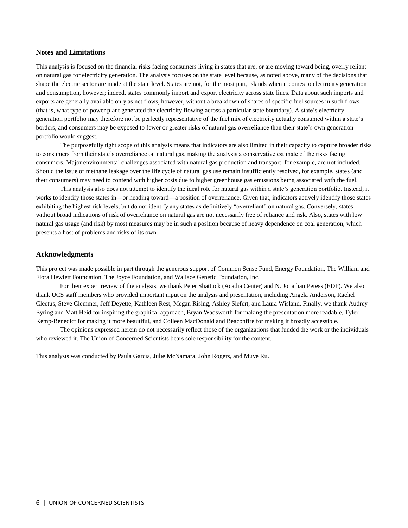## **Notes and Limitations**

This analysis is focused on the financial risks facing consumers living in states that are, or are moving toward being, overly reliant on natural gas for electricity generation. The analysis focuses on the state level because, as noted above, many of the decisions that shape the electric sector are made at the state level. States are not, for the most part, islands when it comes to electricity generation and consumption, however; indeed, states commonly import and export electricity across state lines. Data about such imports and exports are generally available only as net flows, however, without a breakdown of shares of specific fuel sources in such flows (that is, what type of power plant generated the electricity flowing across a particular state boundary). A state's electricity generation portfolio may therefore not be perfectly representative of the fuel mix of electricity actually consumed within a state's borders, and consumers may be exposed to fewer or greater risks of natural gas overreliance than their state's own generation portfolio would suggest.

The purposefully tight scope of this analysis means that indicators are also limited in their capacity to capture broader risks to consumers from their state's overreliance on natural gas, making the analysis a conservative estimate of the risks facing consumers. Major environmental challenges associated with natural gas production and transport, for example, are not included. Should the issue of methane leakage over the life cycle of natural gas use remain insufficiently resolved, for example, states (and their consumers) may need to contend with higher costs due to higher greenhouse gas emissions being associated with the fuel.

This analysis also does not attempt to identify the ideal role for natural gas within a state's generation portfolio. Instead, it works to identify those states in—or heading toward—a position of overreliance. Given that, indicators actively identify those states exhibiting the highest risk levels, but do not identify any states as definitively "overreliant" on natural gas. Conversely, states without broad indications of risk of overreliance on natural gas are not necessarily free of reliance and risk. Also, states with low natural gas usage (and risk) by most measures may be in such a position because of heavy dependence on coal generation, which presents a host of problems and risks of its own.

#### **Acknowledgments**

This project was made possible in part through the generous support of Common Sense Fund, Energy Foundation, The William and Flora Hewlett Foundation, The Joyce Foundation, and Wallace Genetic Foundation, Inc.

For their expert review of the analysis, we thank Peter Shattuck (Acadia Center) and N. Jonathan Peress (EDF). We also thank UCS staff members who provided important input on the analysis and presentation, including Angela Anderson, Rachel Cleetus, Steve Clemmer, Jeff Deyette, Kathleen Rest, Megan Rising, Ashley Siefert, and Laura Wisland. Finally, we thank Audrey Eyring and Matt Heid for inspiring the graphical approach, Bryan Wadsworth for making the presentation more readable, Tyler Kemp-Benedict for making it more beautiful, and Colleen MacDonald and Beaconfire for making it broadly accessible.

The opinions expressed herein do not necessarily reflect those of the organizations that funded the work or the individuals who reviewed it. The Union of Concerned Scientists bears sole responsibility for the content.

This analysis was conducted by Paula Garcia, Julie McNamara, John Rogers, and Muye Ru.